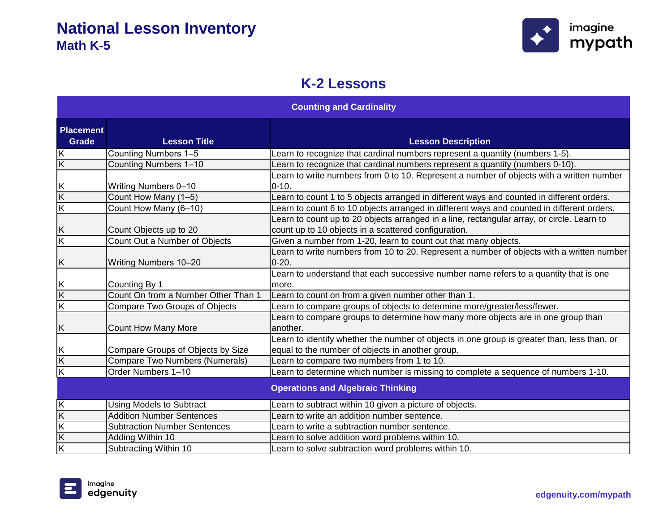

#### **K-2 Lessons**

| <b>Counting and Cardinality</b>  |                                       |                                                                                                                                                    |
|----------------------------------|---------------------------------------|----------------------------------------------------------------------------------------------------------------------------------------------------|
| <b>Placement</b><br><b>Grade</b> | <b>Lesson Title</b>                   | <b>Lesson Description</b>                                                                                                                          |
| Κ                                | Counting Numbers 1-5                  | Learn to recognize that cardinal numbers represent a quantity (numbers 1-5).                                                                       |
| $\overline{\mathsf{K}}$          | Counting Numbers 1-10                 | Learn to recognize that cardinal numbers represent a quantity (numbers 0-10).                                                                      |
| Κ                                | <b>Writing Numbers 0-10</b>           | Learn to write numbers from 0 to 10. Represent a number of objects with a written number<br>$0 - 10.$                                              |
| K                                | Count How Many (1-5)                  | Learn to count 1 to 5 objects arranged in different ways and counted in different orders.                                                          |
| K                                | Count How Many (6-10)                 | Learn to count 6 to 10 objects arranged in different ways and counted in different orders.                                                         |
| Κ                                | Count Objects up to 20                | Learn to count up to 20 objects arranged in a line, rectangular array, or circle. Learn to<br>count up to 10 objects in a scattered configuration. |
| $\overline{\mathsf{K}}$          | Count Out a Number of Objects         | Given a number from 1-20, learn to count out that many objects.                                                                                    |
| Κ                                | Writing Numbers 10-20                 | Learn to write numbers from 10 to 20. Represent a number of objects with a written number<br>$0 - 20.$                                             |
| Κ                                | Counting By 1                         | Learn to understand that each successive number name refers to a quantity that is one<br>more.                                                     |
| $\overline{\mathsf{K}}$          | Count On from a Number Other Than 1   | Learn to count on from a given number other than 1.                                                                                                |
| $\overline{\mathsf{K}}$          | Compare Two Groups of Objects         | Learn to compare groups of objects to determine more/greater/less/fewer.                                                                           |
| Κ                                | <b>Count How Many More</b>            | Learn to compare groups to determine how many more objects are in one group than<br>another.                                                       |
| Κ                                | Compare Groups of Objects by Size     | Learn to identify whether the number of objects in one group is greater than, less than, or<br>equal to the number of objects in another group.    |
| $\overline{\mathsf{K}}$          | <b>Compare Two Numbers (Numerals)</b> | Learn to compare two numbers from 1 to 10.                                                                                                         |
| $\overline{\mathsf{K}}$          | Order Numbers 1-10                    | Learn to determine which number is missing to complete a sequence of numbers 1-10.                                                                 |
|                                  |                                       | <b>Operations and Algebraic Thinking</b>                                                                                                           |
| $\overline{\mathsf{K}}$          | <b>Using Models to Subtract</b>       | Learn to subtract within 10 given a picture of objects.                                                                                            |
| $\overline{K}$                   | <b>Addition Number Sentences</b>      | Learn to write an addition number sentence.                                                                                                        |
| K                                | <b>Subtraction Number Sentences</b>   | Learn to write a subtraction number sentence.                                                                                                      |
| Κ                                | Adding Within 10                      | Learn to solve addition word problems within 10.                                                                                                   |
| $\overline{\mathsf{K}}$          | Subtracting Within 10                 | Learn to solve subtraction word problems within 10.                                                                                                |

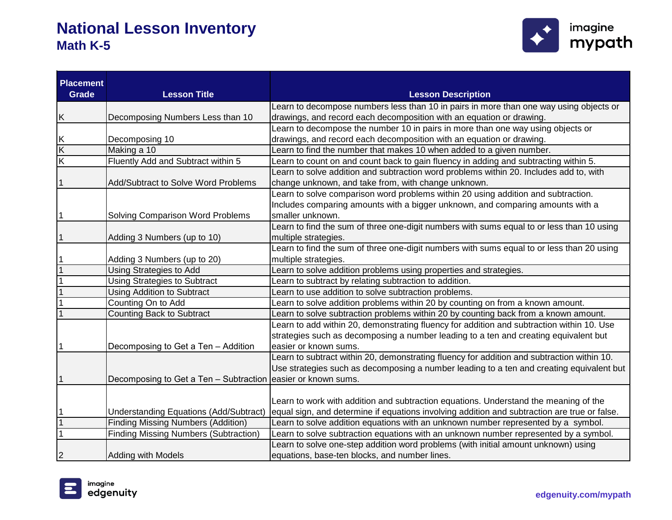

| <b>Placement</b><br><b>Grade</b> | <b>Lesson Title</b>                                          | <b>Lesson Description</b>                                                                    |
|----------------------------------|--------------------------------------------------------------|----------------------------------------------------------------------------------------------|
|                                  |                                                              | Learn to decompose numbers less than 10 in pairs in more than one way using objects or       |
| Κ                                | Decomposing Numbers Less than 10                             | drawings, and record each decomposition with an equation or drawing.                         |
|                                  |                                                              | Learn to decompose the number 10 in pairs in more than one way using objects or              |
| Κ                                | Decomposing 10                                               | drawings, and record each decomposition with an equation or drawing.                         |
| $\overline{\mathsf{K}}$          | Making a 10                                                  | Learn to find the number that makes 10 when added to a given number.                         |
| $\overline{\mathsf{K}}$          | Fluently Add and Subtract within 5                           | Learn to count on and count back to gain fluency in adding and subtracting within 5.         |
|                                  |                                                              | Learn to solve addition and subtraction word problems within 20. Includes add to, with       |
|                                  | Add/Subtract to Solve Word Problems                          | change unknown, and take from, with change unknown.                                          |
|                                  |                                                              | Learn to solve comparison word problems within 20 using addition and subtraction.            |
|                                  |                                                              | Includes comparing amounts with a bigger unknown, and comparing amounts with a               |
| 1                                | Solving Comparison Word Problems                             | smaller unknown.                                                                             |
|                                  |                                                              | Learn to find the sum of three one-digit numbers with sums equal to or less than 10 using    |
|                                  | Adding 3 Numbers (up to 10)                                  | multiple strategies.                                                                         |
|                                  |                                                              | Learn to find the sum of three one-digit numbers with sums equal to or less than 20 using    |
|                                  | Adding 3 Numbers (up to 20)                                  | multiple strategies.                                                                         |
|                                  | <b>Using Strategies to Add</b>                               | Learn to solve addition problems using properties and strategies.                            |
|                                  | <b>Using Strategies to Subtract</b>                          | Learn to subtract by relating subtraction to addition.                                       |
|                                  | <b>Using Addition to Subtract</b>                            | Learn to use addition to solve subtraction problems.                                         |
|                                  | Counting On to Add                                           | Learn to solve addition problems within 20 by counting on from a known amount.               |
|                                  | Counting Back to Subtract                                    | Learn to solve subtraction problems within 20 by counting back from a known amount.          |
|                                  |                                                              | Learn to add within 20, demonstrating fluency for addition and subtraction within 10. Use    |
|                                  |                                                              | strategies such as decomposing a number leading to a ten and creating equivalent but         |
| 1                                | Decomposing to Get a Ten - Addition                          | easier or known sums.                                                                        |
|                                  |                                                              | Learn to subtract within 20, demonstrating fluency for addition and subtraction within 10.   |
|                                  |                                                              | Use strategies such as decomposing a number leading to a ten and creating equivalent but     |
| 1                                | Decomposing to Get a Ten - Subtraction easier or known sums. |                                                                                              |
|                                  |                                                              |                                                                                              |
|                                  |                                                              | Learn to work with addition and subtraction equations. Understand the meaning of the         |
|                                  | <b>Understanding Equations (Add/Subtract)</b>                | equal sign, and determine if equations involving addition and subtraction are true or false. |
|                                  | <b>Finding Missing Numbers (Addition)</b>                    | Learn to solve addition equations with an unknown number represented by a symbol.            |
|                                  | <b>Finding Missing Numbers (Subtraction)</b>                 | Learn to solve subtraction equations with an unknown number represented by a symbol.         |
|                                  |                                                              | Learn to solve one-step addition word problems (with initial amount unknown) using           |
| 2                                | <b>Adding with Models</b>                                    | equations, base-ten blocks, and number lines.                                                |

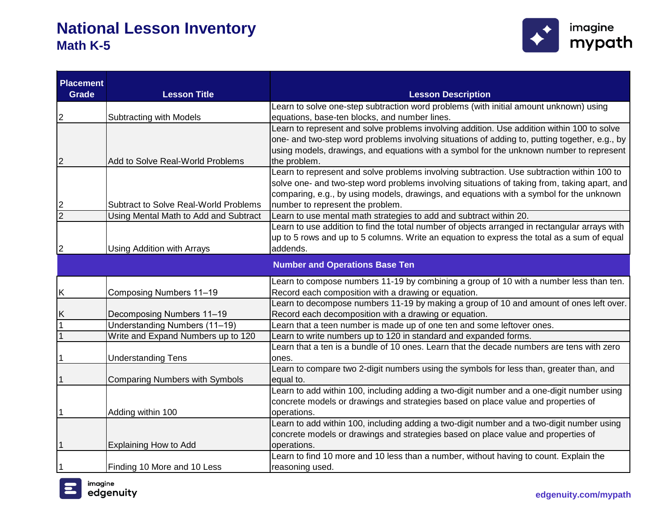

| <b>Placement</b> |                                       |                                                                                                                                                                                             |
|------------------|---------------------------------------|---------------------------------------------------------------------------------------------------------------------------------------------------------------------------------------------|
| <b>Grade</b>     | <b>Lesson Title</b>                   | <b>Lesson Description</b>                                                                                                                                                                   |
|                  |                                       | Learn to solve one-step subtraction word problems (with initial amount unknown) using                                                                                                       |
| $\overline{2}$   | <b>Subtracting with Models</b>        | equations, base-ten blocks, and number lines.                                                                                                                                               |
|                  |                                       | Learn to represent and solve problems involving addition. Use addition within 100 to solve<br>one- and two-step word problems involving situations of adding to, putting together, e.g., by |
|                  |                                       | using models, drawings, and equations with a symbol for the unknown number to represent                                                                                                     |
| $\overline{c}$   | Add to Solve Real-World Problems      | the problem.                                                                                                                                                                                |
|                  |                                       | Learn to represent and solve problems involving subtraction. Use subtraction within 100 to                                                                                                  |
|                  |                                       | solve one- and two-step word problems involving situations of taking from, taking apart, and                                                                                                |
|                  |                                       | comparing, e.g., by using models, drawings, and equations with a symbol for the unknown                                                                                                     |
| $\boldsymbol{2}$ | Subtract to Solve Real-World Problems | number to represent the problem.                                                                                                                                                            |
| $\overline{2}$   | Using Mental Math to Add and Subtract | Learn to use mental math strategies to add and subtract within 20.                                                                                                                          |
|                  |                                       | Learn to use addition to find the total number of objects arranged in rectangular arrays with                                                                                               |
|                  |                                       | up to 5 rows and up to 5 columns. Write an equation to express the total as a sum of equal                                                                                                  |
| $\overline{2}$   | Using Addition with Arrays            | addends.                                                                                                                                                                                    |
|                  |                                       | <b>Number and Operations Base Ten</b>                                                                                                                                                       |
|                  |                                       |                                                                                                                                                                                             |
|                  |                                       | Learn to compose numbers 11-19 by combining a group of 10 with a number less than ten.                                                                                                      |
| Κ                | Composing Numbers 11-19               | Record each composition with a drawing or equation.                                                                                                                                         |
|                  |                                       | Learn to decompose numbers 11-19 by making a group of 10 and amount of ones left over.                                                                                                      |
| Κ                | Decomposing Numbers 11-19             | Record each decomposition with a drawing or equation.                                                                                                                                       |
|                  | Understanding Numbers (11-19)         | Learn that a teen number is made up of one ten and some leftover ones.                                                                                                                      |
|                  | Write and Expand Numbers up to 120    | Learn to write numbers up to 120 in standard and expanded forms.                                                                                                                            |
|                  |                                       | Learn that a ten is a bundle of 10 ones. Learn that the decade numbers are tens with zero                                                                                                   |
|                  | <b>Understanding Tens</b>             | ones.                                                                                                                                                                                       |
|                  |                                       | Learn to compare two 2-digit numbers using the symbols for less than, greater than, and                                                                                                     |
|                  | <b>Comparing Numbers with Symbols</b> | equal to.                                                                                                                                                                                   |
|                  |                                       | Learn to add within 100, including adding a two-digit number and a one-digit number using                                                                                                   |
|                  |                                       | concrete models or drawings and strategies based on place value and properties of                                                                                                           |
| $\mathbf{1}$     | Adding within 100                     | operations.                                                                                                                                                                                 |
|                  |                                       | Learn to add within 100, including adding a two-digit number and a two-digit number using                                                                                                   |
|                  |                                       | concrete models or drawings and strategies based on place value and properties of                                                                                                           |
| 1                | <b>Explaining How to Add</b>          | operations.<br>Learn to find 10 more and 10 less than a number, without having to count. Explain the                                                                                        |
|                  | Finding 10 More and 10 Less           |                                                                                                                                                                                             |
|                  |                                       | reasoning used.                                                                                                                                                                             |

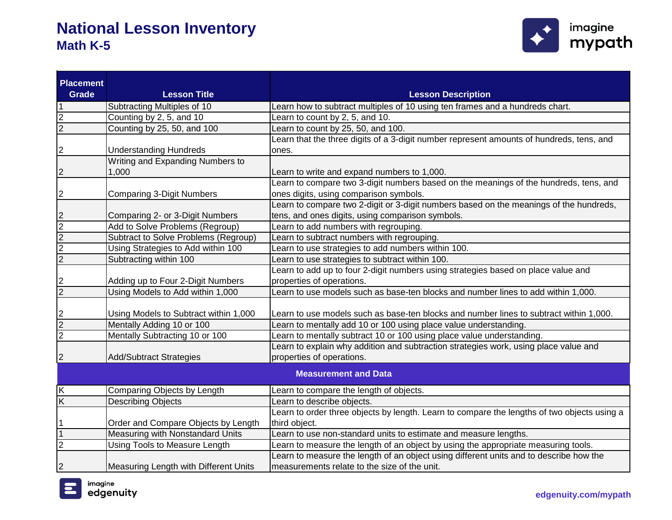

| <b>Placement</b><br><b>Grade</b> | <b>Lesson Title</b>                   | <b>Lesson Description</b>                                                                                                      |  |
|----------------------------------|---------------------------------------|--------------------------------------------------------------------------------------------------------------------------------|--|
|                                  | Subtracting Multiples of 10           | Learn how to subtract multiples of 10 using ten frames and a hundreds chart.                                                   |  |
| 2                                |                                       |                                                                                                                                |  |
| $\overline{2}$                   | Counting by 2, 5, and 10              | Learn to count by 2, 5, and 10.                                                                                                |  |
|                                  | Counting by 25, 50, and 100           | Learn to count by 25, 50, and 100.<br>Learn that the three digits of a 3-digit number represent amounts of hundreds, tens, and |  |
| 2                                | <b>Understanding Hundreds</b>         | ones.                                                                                                                          |  |
|                                  | Writing and Expanding Numbers to      |                                                                                                                                |  |
| 2                                | 1,000                                 | Learn to write and expand numbers to 1,000.                                                                                    |  |
|                                  |                                       | Learn to compare two 3-digit numbers based on the meanings of the hundreds, tens, and                                          |  |
| 2                                | <b>Comparing 3-Digit Numbers</b>      | ones digits, using comparison symbols.                                                                                         |  |
|                                  |                                       | Learn to compare two 2-digit or 3-digit numbers based on the meanings of the hundreds,                                         |  |
| 2                                | Comparing 2- or 3-Digit Numbers       | tens, and ones digits, using comparison symbols.                                                                               |  |
| $\overline{2}$                   | Add to Solve Problems (Regroup)       | Learn to add numbers with regrouping.                                                                                          |  |
| $\overline{2}$                   | Subtract to Solve Problems (Regroup)  | Learn to subtract numbers with regrouping.                                                                                     |  |
| $\overline{2}$                   | Using Strategies to Add within 100    | Learn to use strategies to add numbers within 100.                                                                             |  |
| $\overline{2}$                   | Subtracting within 100                | Learn to use strategies to subtract within 100.                                                                                |  |
|                                  |                                       | Learn to add up to four 2-digit numbers using strategies based on place value and                                              |  |
| 2                                | Adding up to Four 2-Digit Numbers     | properties of operations.                                                                                                      |  |
| $\overline{2}$                   | Using Models to Add within 1,000      | Learn to use models such as base-ten blocks and number lines to add within 1,000.                                              |  |
|                                  |                                       |                                                                                                                                |  |
| 2                                | Using Models to Subtract within 1,000 | Learn to use models such as base-ten blocks and number lines to subtract within 1,000.                                         |  |
| $\overline{2}$                   | Mentally Adding 10 or 100             | Learn to mentally add 10 or 100 using place value understanding.                                                               |  |
| $\overline{2}$                   | Mentally Subtracting 10 or 100        | Learn to mentally subtract 10 or 100 using place value understanding.                                                          |  |
|                                  |                                       | Learn to explain why addition and subtraction strategies work, using place value and                                           |  |
| $\overline{c}$                   | <b>Add/Subtract Strategies</b>        | properties of operations.                                                                                                      |  |
|                                  | <b>Measurement and Data</b>           |                                                                                                                                |  |
| $\overline{\mathsf{K}}$          | Comparing Objects by Length           | Learn to compare the length of objects.                                                                                        |  |
| $\overline{\mathsf{K}}$          | <b>Describing Objects</b>             | Learn to describe objects.                                                                                                     |  |
|                                  |                                       | Learn to order three objects by length. Learn to compare the lengths of two objects using a                                    |  |
|                                  | Order and Compare Objects by Length   | third object.                                                                                                                  |  |
| $\mathbf{1}$                     | Measuring with Nonstandard Units      | Learn to use non-standard units to estimate and measure lengths.                                                               |  |
| $\overline{2}$                   | Using Tools to Measure Length         | Learn to measure the length of an object by using the appropriate measuring tools.                                             |  |
|                                  |                                       | Learn to measure the length of an object using different units and to describe how the                                         |  |
| 2                                | Measuring Length with Different Units | measurements relate to the size of the unit.                                                                                   |  |

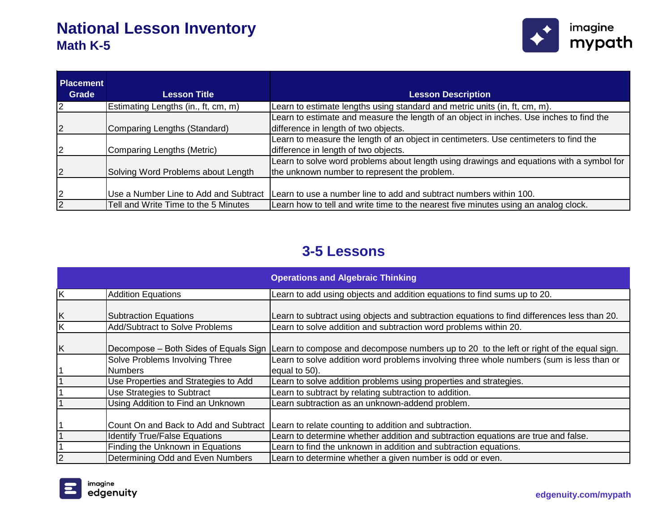

| <b>Placement</b><br>Grade | <b>Lesson Title</b>                   | <b>Lesson Description</b>                                                                |
|---------------------------|---------------------------------------|------------------------------------------------------------------------------------------|
|                           |                                       |                                                                                          |
| <u> 2</u>                 | Estimating Lengths (in., ft, cm, m)   | Learn to estimate lengths using standard and metric units (in, ft, cm, m).               |
|                           |                                       | Learn to estimate and measure the length of an object in inches. Use inches to find the  |
| $\overline{2}$            | Comparing Lengths (Standard)          | difference in length of two objects.                                                     |
|                           |                                       | Learn to measure the length of an object in centimeters. Use centimeters to find the     |
| 2                         | Comparing Lengths (Metric)            | difference in length of two objects.                                                     |
|                           |                                       | Learn to solve word problems about length using drawings and equations with a symbol for |
| $\overline{2}$            | Solving Word Problems about Length    | the unknown number to represent the problem.                                             |
|                           |                                       |                                                                                          |
| 2                         | Use a Number Line to Add and Subtract | Learn to use a number line to add and subtract numbers within 100.                       |
| $\overline{2}$            | Tell and Write Time to the 5 Minutes  | Learn how to tell and write time to the nearest five minutes using an analog clock.      |

#### **3-5 Lessons**

|                         |                                       | <b>Operations and Algebraic Thinking</b>                                                                                      |
|-------------------------|---------------------------------------|-------------------------------------------------------------------------------------------------------------------------------|
| $\overline{\mathsf{x}}$ | <b>Addition Equations</b>             | Learn to add using objects and addition equations to find sums up to 20.                                                      |
| K                       | <b>Subtraction Equations</b>          | Learn to subtract using objects and subtraction equations to find differences less than 20.                                   |
| Κ                       | <b>Add/Subtract to Solve Problems</b> | Learn to solve addition and subtraction word problems within 20.                                                              |
| K                       |                                       | Decompose – Both Sides of Equals Sign Learn to compose and decompose numbers up to 20 to the left or right of the equal sign. |
|                         | Solve Problems Involving Three        | Learn to solve addition word problems involving three whole numbers (sum is less than or                                      |
|                         | <b>Numbers</b>                        | equal to 50).                                                                                                                 |
|                         | Use Properties and Strategies to Add  | Learn to solve addition problems using properties and strategies.                                                             |
|                         | Use Strategies to Subtract            | Learn to subtract by relating subtraction to addition.                                                                        |
|                         | Using Addition to Find an Unknown     | Learn subtraction as an unknown-addend problem.                                                                               |
|                         | Count On and Back to Add and Subtract | Learn to relate counting to addition and subtraction.                                                                         |
|                         | <b>Identify True/False Equations</b>  | Learn to determine whether addition and subtraction equations are true and false.                                             |
|                         | Finding the Unknown in Equations      | Learn to find the unknown in addition and subtraction equations.                                                              |
| 2                       | Determining Odd and Even Numbers      | Learn to determine whether a given number is odd or even.                                                                     |

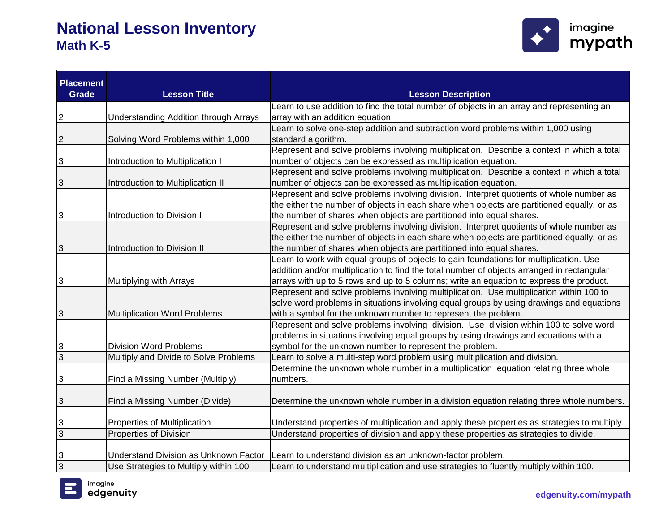

| <b>Placement</b><br>Grade | <b>Lesson Title</b>                          | <b>Lesson Description</b>                                                                                                                                                          |
|---------------------------|----------------------------------------------|------------------------------------------------------------------------------------------------------------------------------------------------------------------------------------|
|                           |                                              | Learn to use addition to find the total number of objects in an array and representing an                                                                                          |
| 2                         | <b>Understanding Addition through Arrays</b> | array with an addition equation.                                                                                                                                                   |
|                           |                                              | Learn to solve one-step addition and subtraction word problems within 1,000 using                                                                                                  |
| $\overline{c}$            | Solving Word Problems within 1,000           | standard algorithm.                                                                                                                                                                |
|                           |                                              | Represent and solve problems involving multiplication. Describe a context in which a total                                                                                         |
| 3                         | Introduction to Multiplication I             | number of objects can be expressed as multiplication equation.                                                                                                                     |
|                           |                                              | Represent and solve problems involving multiplication. Describe a context in which a total                                                                                         |
| 3                         | Introduction to Multiplication II            | number of objects can be expressed as multiplication equation.                                                                                                                     |
|                           |                                              | Represent and solve problems involving division. Interpret quotients of whole number as                                                                                            |
|                           |                                              | the either the number of objects in each share when objects are partitioned equally, or as                                                                                         |
| 3                         | Introduction to Division I                   | the number of shares when objects are partitioned into equal shares.                                                                                                               |
|                           |                                              | Represent and solve problems involving division. Interpret quotients of whole number as                                                                                            |
|                           |                                              | the either the number of objects in each share when objects are partitioned equally, or as                                                                                         |
| 3                         | Introduction to Division II                  | the number of shares when objects are partitioned into equal shares.                                                                                                               |
|                           |                                              | Learn to work with equal groups of objects to gain foundations for multiplication. Use                                                                                             |
|                           |                                              | addition and/or multiplication to find the total number of objects arranged in rectangular                                                                                         |
| 3                         | Multiplying with Arrays                      | arrays with up to 5 rows and up to 5 columns; write an equation to express the product.<br>Represent and solve problems involving multiplication. Use multiplication within 100 to |
|                           |                                              | solve word problems in situations involving equal groups by using drawings and equations                                                                                           |
| 3                         | <b>Multiplication Word Problems</b>          | with a symbol for the unknown number to represent the problem.                                                                                                                     |
|                           |                                              | Represent and solve problems involving division. Use division within 100 to solve word                                                                                             |
|                           |                                              | problems in situations involving equal groups by using drawings and equations with a                                                                                               |
| 3                         | <b>Division Word Problems</b>                | symbol for the unknown number to represent the problem.                                                                                                                            |
| $\overline{3}$            | Multiply and Divide to Solve Problems        | Learn to solve a multi-step word problem using multiplication and division.                                                                                                        |
|                           |                                              | Determine the unknown whole number in a multiplication equation relating three whole                                                                                               |
| 3                         | Find a Missing Number (Multiply)             | numbers.                                                                                                                                                                           |
|                           |                                              |                                                                                                                                                                                    |
| 3                         | Find a Missing Number (Divide)               | Determine the unknown whole number in a division equation relating three whole numbers.                                                                                            |
|                           |                                              |                                                                                                                                                                                    |
| 3                         | Properties of Multiplication                 | Understand properties of multiplication and apply these properties as strategies to multiply.                                                                                      |
| $\overline{3}$            | <b>Properties of Division</b>                | Understand properties of division and apply these properties as strategies to divide.                                                                                              |
|                           |                                              |                                                                                                                                                                                    |
| 3                         | <b>Understand Division as Unknown Factor</b> | Learn to understand division as an unknown-factor problem.                                                                                                                         |
| $\overline{3}$            | Use Strategies to Multiply within 100        | Learn to understand multiplication and use strategies to fluently multiply within 100.                                                                                             |

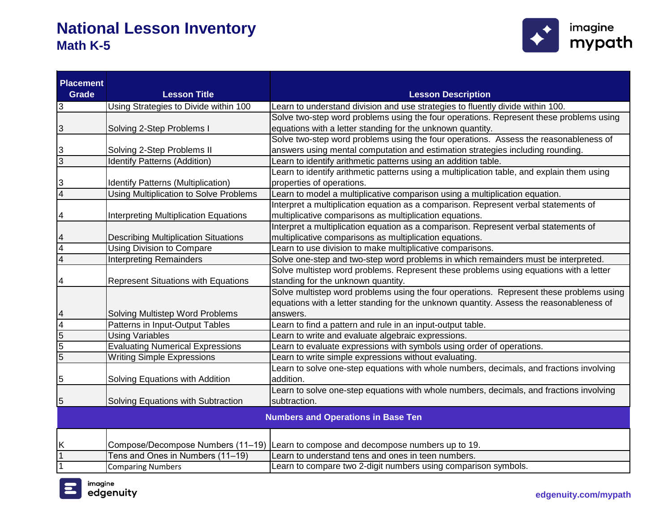

| <b>Placement</b> |                                              |                                                                                            |
|------------------|----------------------------------------------|--------------------------------------------------------------------------------------------|
| Grade            | <b>Lesson Title</b>                          | <b>Lesson Description</b>                                                                  |
| 3                | Using Strategies to Divide within 100        | Learn to understand division and use strategies to fluently divide within 100.             |
|                  |                                              | Solve two-step word problems using the four operations. Represent these problems using     |
| 3                | Solving 2-Step Problems I                    | equations with a letter standing for the unknown quantity.                                 |
|                  |                                              | Solve two-step word problems using the four operations. Assess the reasonableness of       |
| 3                | Solving 2-Step Problems II                   | answers using mental computation and estimation strategies including rounding.             |
| $\overline{3}$   | <b>Identify Patterns (Addition)</b>          | Learn to identify arithmetic patterns using an addition table.                             |
|                  |                                              | Learn to identify arithmetic patterns using a multiplication table, and explain them using |
| 3                | <b>Identify Patterns (Multiplication)</b>    | properties of operations.                                                                  |
| $\overline{4}$   | Using Multiplication to Solve Problems       | Learn to model a multiplicative comparison using a multiplication equation.                |
|                  |                                              | Interpret a multiplication equation as a comparison. Represent verbal statements of        |
| 4                | <b>Interpreting Multiplication Equations</b> | multiplicative comparisons as multiplication equations.                                    |
|                  |                                              | Interpret a multiplication equation as a comparison. Represent verbal statements of        |
| 4                | <b>Describing Multiplication Situations</b>  | multiplicative comparisons as multiplication equations.                                    |
| $\overline{4}$   | <b>Using Division to Compare</b>             | Learn to use division to make multiplicative comparisons.                                  |
| $\overline{4}$   | <b>Interpreting Remainders</b>               | Solve one-step and two-step word problems in which remainders must be interpreted.         |
|                  |                                              | Solve multistep word problems. Represent these problems using equations with a letter      |
| 4                | <b>Represent Situations with Equations</b>   | standing for the unknown quantity.                                                         |
|                  |                                              | Solve multistep word problems using the four operations. Represent these problems using    |
|                  |                                              | equations with a letter standing for the unknown quantity. Assess the reasonableness of    |
| 4                | Solving Multistep Word Problems              | answers.                                                                                   |
| 4                | Patterns in Input-Output Tables              | Learn to find a pattern and rule in an input-output table.                                 |
| $\overline{5}$   | <b>Using Variables</b>                       | Learn to write and evaluate algebraic expressions.                                         |
| $\overline{5}$   | <b>Evaluating Numerical Expressions</b>      | Learn to evaluate expressions with symbols using order of operations.                      |
| $\overline{5}$   | <b>Writing Simple Expressions</b>            | Learn to write simple expressions without evaluating.                                      |
|                  |                                              | Learn to solve one-step equations with whole numbers, decimals, and fractions involving    |
| 5                | Solving Equations with Addition              | addition.                                                                                  |
|                  |                                              | Learn to solve one-step equations with whole numbers, decimals, and fractions involving    |
| 5                | Solving Equations with Subtraction           | subtraction.                                                                               |
|                  |                                              | <b>Numbers and Operations in Base Ten</b>                                                  |
|                  |                                              |                                                                                            |
| Κ                |                                              | Compose/Decompose Numbers (11–19) Learn to compose and decompose numbers up to 19.         |
| 1                | Tens and Ones in Numbers (11-19)             | Learn to understand tens and ones in teen numbers.                                         |
| 1                | <b>Comparing Numbers</b>                     | Learn to compare two 2-digit numbers using comparison symbols.                             |

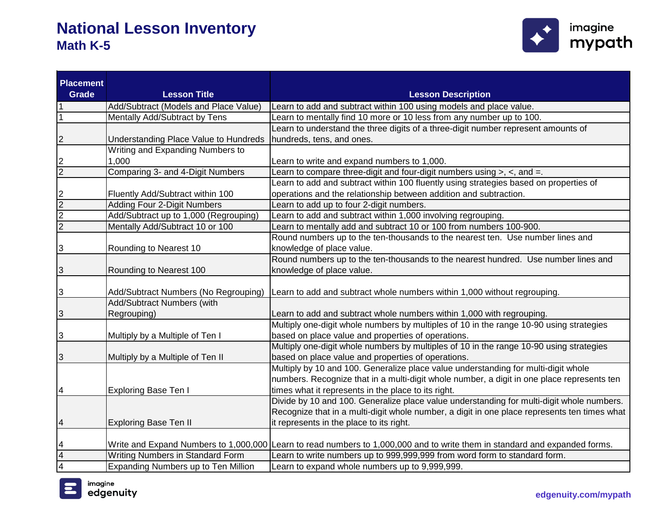

| <b>Placement</b><br><b>Grade</b> | <b>Lesson Title</b>                   | <b>Lesson Description</b>                                                                                                  |
|----------------------------------|---------------------------------------|----------------------------------------------------------------------------------------------------------------------------|
| 1                                | Add/Subtract (Models and Place Value) | Learn to add and subtract within 100 using models and place value.                                                         |
| 1                                | Mentally Add/Subtract by Tens         | Learn to mentally find 10 more or 10 less from any number up to 100.                                                       |
|                                  |                                       | Learn to understand the three digits of a three-digit number represent amounts of                                          |
| 2                                | Understanding Place Value to Hundreds | hundreds, tens, and ones.                                                                                                  |
|                                  | Writing and Expanding Numbers to      |                                                                                                                            |
| 2                                | 1,000                                 | Learn to write and expand numbers to 1,000.                                                                                |
| $\overline{2}$                   | Comparing 3- and 4-Digit Numbers      | Learn to compare three-digit and four-digit numbers using $>$ , $<$ , and $=$ .                                            |
|                                  |                                       | Learn to add and subtract within 100 fluently using strategies based on properties of                                      |
| 2                                | Fluently Add/Subtract within 100      | operations and the relationship between addition and subtraction.                                                          |
| $\overline{2}$                   | <b>Adding Four 2-Digit Numbers</b>    | Learn to add up to four 2-digit numbers.                                                                                   |
| $\overline{2}$                   | Add/Subtract up to 1,000 (Regrouping) | Learn to add and subtract within 1,000 involving regrouping.                                                               |
| $\overline{2}$                   | Mentally Add/Subtract 10 or 100       | Learn to mentally add and subtract 10 or 100 from numbers 100-900.                                                         |
|                                  |                                       | Round numbers up to the ten-thousands to the nearest ten. Use number lines and                                             |
| 3                                | Rounding to Nearest 10                | knowledge of place value.                                                                                                  |
|                                  |                                       | Round numbers up to the ten-thousands to the nearest hundred. Use number lines and                                         |
| 3                                | Rounding to Nearest 100               | knowledge of place value.                                                                                                  |
|                                  |                                       |                                                                                                                            |
| 3                                | Add/Subtract Numbers (No Regrouping)  | Learn to add and subtract whole numbers within 1,000 without regrouping.                                                   |
|                                  | Add/Subtract Numbers (with            |                                                                                                                            |
| 3                                | Regrouping)                           | Learn to add and subtract whole numbers within 1,000 with regrouping.                                                      |
|                                  |                                       | Multiply one-digit whole numbers by multiples of 10 in the range 10-90 using strategies                                    |
| 3                                | Multiply by a Multiple of Ten I       | based on place value and properties of operations.                                                                         |
|                                  |                                       | Multiply one-digit whole numbers by multiples of 10 in the range 10-90 using strategies                                    |
| 3                                | Multiply by a Multiple of Ten II      | based on place value and properties of operations.                                                                         |
|                                  |                                       | Multiply by 10 and 100. Generalize place value understanding for multi-digit whole                                         |
|                                  |                                       | numbers. Recognize that in a multi-digit whole number, a digit in one place represents ten                                 |
| 4                                | <b>Exploring Base Ten I</b>           | times what it represents in the place to its right.                                                                        |
|                                  |                                       | Divide by 10 and 100. Generalize place value understanding for multi-digit whole numbers.                                  |
|                                  |                                       | Recognize that in a multi-digit whole number, a digit in one place represents ten times what                               |
| 4                                | <b>Exploring Base Ten II</b>          | it represents in the place to its right.                                                                                   |
|                                  |                                       |                                                                                                                            |
| 4                                |                                       | Write and Expand Numbers to 1,000,000 Learn to read numbers to 1,000,000 and to write them in standard and expanded forms. |
| 4                                | Writing Numbers in Standard Form      | earn to write numbers up to 999,999,999 from word form to standard form.                                                   |
| $\overline{4}$                   | Expanding Numbers up to Ten Million   | Learn to expand whole numbers up to 9,999,999.                                                                             |

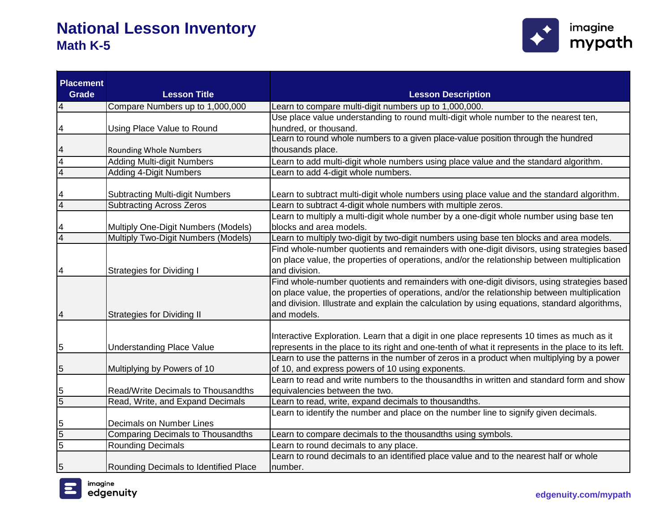

| <b>Placement</b><br><b>Grade</b> | <b>Lesson Title</b>                                                        | <b>Lesson Description</b>                                                                                                                                                             |
|----------------------------------|----------------------------------------------------------------------------|---------------------------------------------------------------------------------------------------------------------------------------------------------------------------------------|
|                                  |                                                                            |                                                                                                                                                                                       |
| 4                                | Compare Numbers up to 1,000,000                                            | Learn to compare multi-digit numbers up to 1,000,000.                                                                                                                                 |
|                                  |                                                                            | Use place value understanding to round multi-digit whole number to the nearest ten,                                                                                                   |
| 4                                | Using Place Value to Round                                                 | hundred, or thousand.<br>Learn to round whole numbers to a given place-value position through the hundred                                                                             |
|                                  | <b>Rounding Whole Numbers</b>                                              | thousands place.                                                                                                                                                                      |
| 4                                |                                                                            |                                                                                                                                                                                       |
| $\overline{4}$                   | <b>Adding Multi-digit Numbers</b>                                          | Learn to add multi-digit whole numbers using place value and the standard algorithm.                                                                                                  |
| $\overline{4}$                   | <b>Adding 4-Digit Numbers</b>                                              | Learn to add 4-digit whole numbers.                                                                                                                                                   |
|                                  |                                                                            |                                                                                                                                                                                       |
| 4<br>$\overline{4}$              | <b>Subtracting Multi-digit Numbers</b>                                     | Learn to subtract multi-digit whole numbers using place value and the standard algorithm.                                                                                             |
|                                  | <b>Subtracting Across Zeros</b>                                            | Learn to subtract 4-digit whole numbers with multiple zeros.                                                                                                                          |
|                                  |                                                                            | Learn to multiply a multi-digit whole number by a one-digit whole number using base ten<br>blocks and area models.                                                                    |
| $\overline{4}$                   | Multiply One-Digit Numbers (Models)<br>Multiply Two-Digit Numbers (Models) |                                                                                                                                                                                       |
|                                  |                                                                            | Learn to multiply two-digit by two-digit numbers using base ten blocks and area models.<br>Find whole-number quotients and remainders with one-digit divisors, using strategies based |
|                                  |                                                                            |                                                                                                                                                                                       |
|                                  |                                                                            | on place value, the properties of operations, and/or the relationship between multiplication<br>and division.                                                                         |
| 4                                | <b>Strategies for Dividing I</b>                                           |                                                                                                                                                                                       |
|                                  |                                                                            | Find whole-number quotients and remainders with one-digit divisors, using strategies based                                                                                            |
|                                  |                                                                            | on place value, the properties of operations, and/or the relationship between multiplication                                                                                          |
|                                  |                                                                            | and division. Illustrate and explain the calculation by using equations, standard algorithms,                                                                                         |
| 4                                | <b>Strategies for Dividing II</b>                                          | and models.                                                                                                                                                                           |
|                                  |                                                                            |                                                                                                                                                                                       |
|                                  |                                                                            | Interactive Exploration. Learn that a digit in one place represents 10 times as much as it                                                                                            |
| 5                                | <b>Understanding Place Value</b>                                           | represents in the place to its right and one-tenth of what it represents in the place to its left.                                                                                    |
|                                  |                                                                            | Learn to use the patterns in the number of zeros in a product when multiplying by a power                                                                                             |
| 5                                | Multiplying by Powers of 10                                                | of 10, and express powers of 10 using exponents.                                                                                                                                      |
|                                  |                                                                            | Learn to read and write numbers to the thousandths in written and standard form and show                                                                                              |
| 5                                | Read/Write Decimals to Thousandths                                         | equivalencies between the two.                                                                                                                                                        |
| $\overline{5}$                   | Read, Write, and Expand Decimals                                           | Learn to read, write, expand decimals to thousandths.                                                                                                                                 |
|                                  |                                                                            | Learn to identify the number and place on the number line to signify given decimals.                                                                                                  |
| $\overline{5}$                   | Decimals on Number Lines                                                   |                                                                                                                                                                                       |
| 5                                | <b>Comparing Decimals to Thousandths</b>                                   | Learn to compare decimals to the thousandths using symbols.                                                                                                                           |
| $\overline{5}$                   | <b>Rounding Decimals</b>                                                   | Learn to round decimals to any place.                                                                                                                                                 |
|                                  |                                                                            | Learn to round decimals to an identified place value and to the nearest half or whole                                                                                                 |
| 5                                | Rounding Decimals to Identified Place                                      | number.                                                                                                                                                                               |

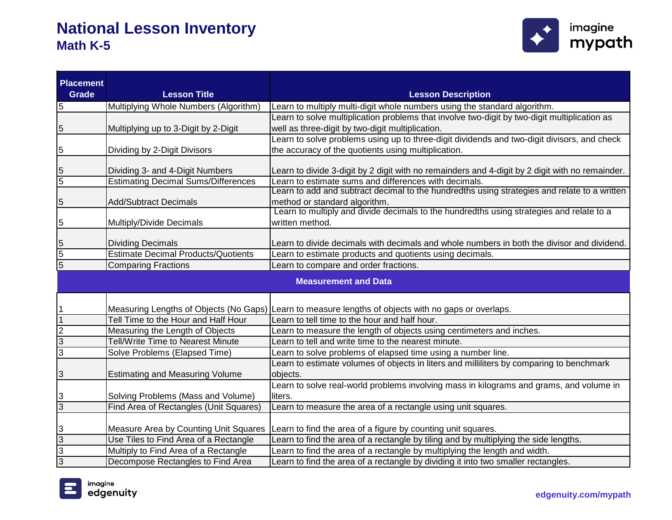

| <b>Placement</b> |                                            |                                                                                                      |
|------------------|--------------------------------------------|------------------------------------------------------------------------------------------------------|
| Grade            | <b>Lesson Title</b>                        | <b>Lesson Description</b>                                                                            |
| 5                | Multiplying Whole Numbers (Algorithm)      | Learn to multiply multi-digit whole numbers using the standard algorithm.                            |
|                  |                                            | Learn to solve multiplication problems that involve two-digit by two-digit multiplication as         |
| 5                | Multiplying up to 3-Digit by 2-Digit       | well as three-digit by two-digit multiplication.                                                     |
|                  |                                            | Learn to solve problems using up to three-digit dividends and two-digit divisors, and check          |
| 5                | Dividing by 2-Digit Divisors               | the accuracy of the quotients using multiplication.                                                  |
| 5                | Dividing 3- and 4-Digit Numbers            | Learn to divide 3-digit by 2 digit with no remainders and 4-digit by 2 digit with no remainder.      |
| $\overline{5}$   | <b>Estimating Decimal Sums/Differences</b> | Learn to estimate sums and differences with decimals.                                                |
|                  |                                            | Learn to add and subtract decimal to the hundredths using strategies and relate to a written         |
| 5                | <b>Add/Subtract Decimals</b>               | method or standard algorithm.                                                                        |
|                  |                                            | Learn to multiply and divide decimals to the hundredths using strategies and relate to a             |
| 5                | Multiply/Divide Decimals                   | written method.                                                                                      |
| 5                | <b>Dividing Decimals</b>                   | Learn to divide decimals with decimals and whole numbers in both the divisor and dividend.           |
| $\overline{5}$   | <b>Estimate Decimal Products/Quotients</b> | Learn to estimate products and quotients using decimals.                                             |
| $\overline{5}$   | <b>Comparing Fractions</b>                 | Learn to compare and order fractions.                                                                |
|                  |                                            |                                                                                                      |
|                  |                                            | <b>Measurement and Data</b>                                                                          |
|                  |                                            |                                                                                                      |
|                  |                                            | Measuring Lengths of Objects (No Gaps) Learn to measure lengths of objects with no gaps or overlaps. |
|                  | Tell Time to the Hour and Half Hour        | Learn to tell time to the hour and half hour.                                                        |
| $\overline{2}$   | Measuring the Length of Objects            | Learn to measure the length of objects using centimeters and inches.                                 |
| 3                | Tell/Write Time to Nearest Minute          | Learn to tell and write time to the nearest minute.                                                  |
| 3                | Solve Problems (Elapsed Time)              | Learn to solve problems of elapsed time using a number line.                                         |
|                  |                                            | Learn to estimate volumes of objects in liters and milliliters by comparing to benchmark             |
| 3                | <b>Estimating and Measuring Volume</b>     | objects.                                                                                             |
|                  |                                            | Learn to solve real-world problems involving mass in kilograms and grams, and volume in              |
| 3                | Solving Problems (Mass and Volume)         | liters.                                                                                              |
| $\overline{3}$   | Find Area of Rectangles (Unit Squares)     | Learn to measure the area of a rectangle using unit squares.                                         |
|                  |                                            |                                                                                                      |
| 3                | Measure Area by Counting Unit Squares      | Learn to find the area of a figure by counting unit squares.                                         |
| $\overline{3}$   | Use Tiles to Find Area of a Rectangle      | Learn to find the area of a rectangle by tiling and by multiplying the side lengths.                 |
| 3                | Multiply to Find Area of a Rectangle       | Learn to find the area of a rectangle by multiplying the length and width.                           |
| 3                | Decompose Rectangles to Find Area          | Learn to find the area of a rectangle by dividing it into two smaller rectangles.                    |

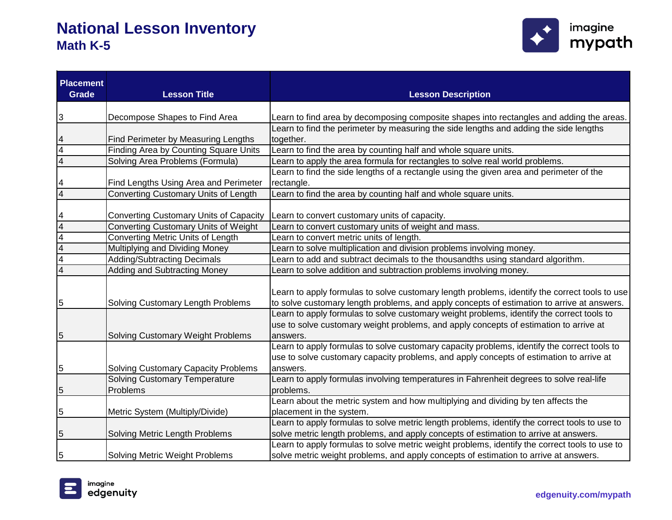

| <b>Placement</b><br><b>Grade</b> | <b>Lesson Title</b>                                                           | <b>Lesson Description</b>                                                                                                                                                                                                                                                                                                                                                                     |
|----------------------------------|-------------------------------------------------------------------------------|-----------------------------------------------------------------------------------------------------------------------------------------------------------------------------------------------------------------------------------------------------------------------------------------------------------------------------------------------------------------------------------------------|
|                                  |                                                                               |                                                                                                                                                                                                                                                                                                                                                                                               |
| 3                                | Decompose Shapes to Find Area                                                 | Learn to find area by decomposing composite shapes into rectangles and adding the areas.<br>Learn to find the perimeter by measuring the side lengths and adding the side lengths                                                                                                                                                                                                             |
|                                  |                                                                               |                                                                                                                                                                                                                                                                                                                                                                                               |
| $\overline{4}$                   | Find Perimeter by Measuring Lengths                                           | together.<br>Learn to find the area by counting half and whole square units.                                                                                                                                                                                                                                                                                                                  |
|                                  | Finding Area by Counting Square Units                                         |                                                                                                                                                                                                                                                                                                                                                                                               |
| 4                                | Solving Area Problems (Formula)                                               | Learn to apply the area formula for rectangles to solve real world problems.                                                                                                                                                                                                                                                                                                                  |
|                                  |                                                                               | Learn to find the side lengths of a rectangle using the given area and perimeter of the                                                                                                                                                                                                                                                                                                       |
|                                  | Find Lengths Using Area and Perimeter                                         | rectangle.                                                                                                                                                                                                                                                                                                                                                                                    |
| 4                                | Converting Customary Units of Length                                          | Learn to find the area by counting half and whole square units.                                                                                                                                                                                                                                                                                                                               |
|                                  |                                                                               |                                                                                                                                                                                                                                                                                                                                                                                               |
| 4                                | <b>Converting Customary Units of Capacity</b>                                 | Learn to convert customary units of capacity.                                                                                                                                                                                                                                                                                                                                                 |
| $\overline{4}$                   | <b>Converting Customary Units of Weight</b>                                   | Learn to convert customary units of weight and mass.                                                                                                                                                                                                                                                                                                                                          |
| $\overline{4}$                   | Converting Metric Units of Length                                             | Learn to convert metric units of length.                                                                                                                                                                                                                                                                                                                                                      |
| 4                                | Multiplying and Dividing Money                                                | Learn to solve multiplication and division problems involving money.                                                                                                                                                                                                                                                                                                                          |
| 4                                | <b>Adding/Subtracting Decimals</b>                                            | Learn to add and subtract decimals to the thousandths using standard algorithm.                                                                                                                                                                                                                                                                                                               |
| 4                                | Adding and Subtracting Money                                                  | Learn to solve addition and subtraction problems involving money.                                                                                                                                                                                                                                                                                                                             |
| 5<br>5                           | Solving Customary Length Problems<br><b>Solving Customary Weight Problems</b> | Learn to apply formulas to solve customary length problems, identify the correct tools to use<br>to solve customary length problems, and apply concepts of estimation to arrive at answers.<br>Learn to apply formulas to solve customary weight problems, identify the correct tools to<br>use to solve customary weight problems, and apply concepts of estimation to arrive at<br>answers. |
|                                  |                                                                               | Learn to apply formulas to solve customary capacity problems, identify the correct tools to                                                                                                                                                                                                                                                                                                   |
|                                  |                                                                               | use to solve customary capacity problems, and apply concepts of estimation to arrive at                                                                                                                                                                                                                                                                                                       |
| 5                                | <b>Solving Customary Capacity Problems</b>                                    | answers.                                                                                                                                                                                                                                                                                                                                                                                      |
|                                  | <b>Solving Customary Temperature</b>                                          | Learn to apply formulas involving temperatures in Fahrenheit degrees to solve real-life                                                                                                                                                                                                                                                                                                       |
| 5                                | Problems                                                                      | problems.                                                                                                                                                                                                                                                                                                                                                                                     |
|                                  |                                                                               | Learn about the metric system and how multiplying and dividing by ten affects the                                                                                                                                                                                                                                                                                                             |
| 5                                | Metric System (Multiply/Divide)                                               | placement in the system.                                                                                                                                                                                                                                                                                                                                                                      |
|                                  |                                                                               | Learn to apply formulas to solve metric length problems, identify the correct tools to use to                                                                                                                                                                                                                                                                                                 |
| 5                                | Solving Metric Length Problems                                                | solve metric length problems, and apply concepts of estimation to arrive at answers.                                                                                                                                                                                                                                                                                                          |
|                                  |                                                                               | Learn to apply formulas to solve metric weight problems, identify the correct tools to use to                                                                                                                                                                                                                                                                                                 |
| 5                                | <b>Solving Metric Weight Problems</b>                                         | solve metric weight problems, and apply concepts of estimation to arrive at answers.                                                                                                                                                                                                                                                                                                          |

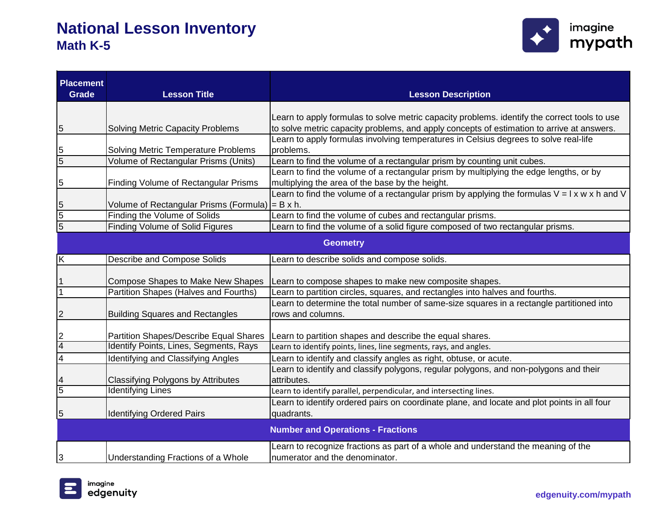

| <b>Placement</b><br><b>Grade</b>         | <b>Lesson Title</b>                                            | <b>Lesson Description</b>                                                                                |  |  |
|------------------------------------------|----------------------------------------------------------------|----------------------------------------------------------------------------------------------------------|--|--|
|                                          |                                                                |                                                                                                          |  |  |
|                                          |                                                                | Learn to apply formulas to solve metric capacity problems. identify the correct tools to use             |  |  |
| 5                                        | <b>Solving Metric Capacity Problems</b>                        | to solve metric capacity problems, and apply concepts of estimation to arrive at answers.                |  |  |
| 5                                        | Solving Metric Temperature Problems                            | Learn to apply formulas involving temperatures in Celsius degrees to solve real-life<br>problems.        |  |  |
| $\overline{5}$                           | Volume of Rectangular Prisms (Units)                           | Learn to find the volume of a rectangular prism by counting unit cubes.                                  |  |  |
|                                          |                                                                | Learn to find the volume of a rectangular prism by multiplying the edge lengths, or by                   |  |  |
| 5                                        | Finding Volume of Rectangular Prisms                           | multiplying the area of the base by the height.                                                          |  |  |
|                                          |                                                                | Learn to find the volume of a rectangular prism by applying the formulas $V = I \times W \times h$ and V |  |  |
| 5                                        | Volume of Rectangular Prisms (Formula) $= B x h$ .             |                                                                                                          |  |  |
| $\overline{5}$                           | Finding the Volume of Solids                                   | Learn to find the volume of cubes and rectangular prisms.                                                |  |  |
| $\overline{5}$                           | <b>Finding Volume of Solid Figures</b>                         | Learn to find the volume of a solid figure composed of two rectangular prisms.                           |  |  |
| <b>Geometry</b>                          |                                                                |                                                                                                          |  |  |
| Κ                                        | <b>Describe and Compose Solids</b>                             | Learn to describe solids and compose solids.                                                             |  |  |
|                                          |                                                                |                                                                                                          |  |  |
|                                          | Compose Shapes to Make New Shapes                              | Learn to compose shapes to make new composite shapes.                                                    |  |  |
| 1                                        | Partition Shapes (Halves and Fourths)                          | Learn to partition circles, squares, and rectangles into halves and fourths.                             |  |  |
|                                          |                                                                | Learn to determine the total number of same-size squares in a rectangle partitioned into                 |  |  |
| 2                                        | <b>Building Squares and Rectangles</b>                         | rows and columns.                                                                                        |  |  |
|                                          |                                                                |                                                                                                          |  |  |
| 2                                        | <b>Partition Shapes/Describe Equal Shares</b>                  | Learn to partition shapes and describe the equal shares.                                                 |  |  |
| 4                                        | Identify Points, Lines, Segments, Rays                         | Learn to identify points, lines, line segments, rays, and angles.                                        |  |  |
| 4                                        | Identifying and Classifying Angles                             | Learn to identify and classify angles as right, obtuse, or acute.                                        |  |  |
|                                          |                                                                | Learn to identify and classify polygons, regular polygons, and non-polygons and their                    |  |  |
| $\overline{5}$                           | Classifying Polygons by Attributes<br><b>Identifying Lines</b> | attributes.                                                                                              |  |  |
|                                          |                                                                | Learn to identify parallel, perpendicular, and intersecting lines.                                       |  |  |
|                                          |                                                                | Learn to identify ordered pairs on coordinate plane, and locate and plot points in all four              |  |  |
| 5                                        | <b>Identifying Ordered Pairs</b>                               | quadrants.                                                                                               |  |  |
| <b>Number and Operations - Fractions</b> |                                                                |                                                                                                          |  |  |
|                                          |                                                                | Learn to recognize fractions as part of a whole and understand the meaning of the                        |  |  |
| 3                                        | Understanding Fractions of a Whole                             | numerator and the denominator.                                                                           |  |  |

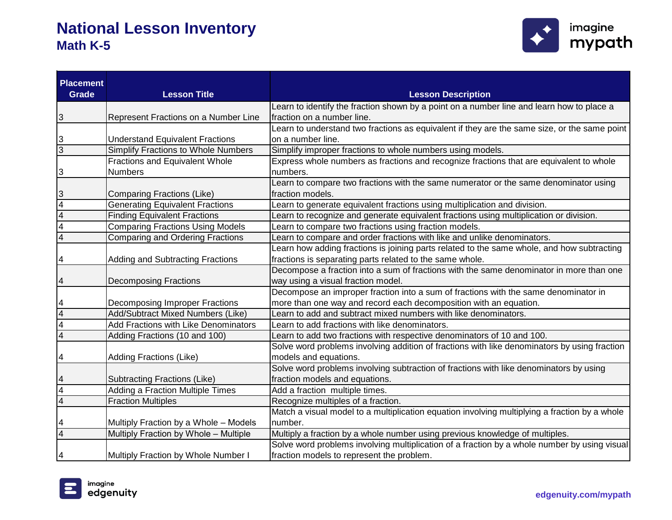

| <b>Placement</b><br><b>Grade</b> | <b>Lesson Title</b>                        | <b>Lesson Description</b>                                                                     |
|----------------------------------|--------------------------------------------|-----------------------------------------------------------------------------------------------|
|                                  |                                            | Learn to identify the fraction shown by a point on a number line and learn how to place a     |
| 3                                | Represent Fractions on a Number Line       | fraction on a number line.                                                                    |
|                                  |                                            | Learn to understand two fractions as equivalent if they are the same size, or the same point  |
| З                                | <b>Understand Equivalent Fractions</b>     | on a number line.                                                                             |
| $\overline{3}$                   | <b>Simplify Fractions to Whole Numbers</b> | Simplify improper fractions to whole numbers using models.                                    |
|                                  | <b>Fractions and Equivalent Whole</b>      | Express whole numbers as fractions and recognize fractions that are equivalent to whole       |
| 3                                | <b>Numbers</b>                             | numbers.                                                                                      |
|                                  |                                            | Learn to compare two fractions with the same numerator or the same denominator using          |
| 3                                | <b>Comparing Fractions (Like)</b>          | fraction models.                                                                              |
| $\overline{4}$                   | Generating Equivalent Fractions            | Learn to generate equivalent fractions using multiplication and division.                     |
| $\overline{4}$                   | <b>Finding Equivalent Fractions</b>        | Learn to recognize and generate equivalent fractions using multiplication or division.        |
| $\overline{4}$                   | <b>Comparing Fractions Using Models</b>    | Learn to compare two fractions using fraction models.                                         |
| $\overline{4}$                   | <b>Comparing and Ordering Fractions</b>    | Learn to compare and order fractions with like and unlike denominators.                       |
|                                  |                                            | Learn how adding fractions is joining parts related to the same whole, and how subtracting    |
| 4                                | <b>Adding and Subtracting Fractions</b>    | fractions is separating parts related to the same whole.                                      |
|                                  |                                            | Decompose a fraction into a sum of fractions with the same denominator in more than one       |
| 4                                | <b>Decomposing Fractions</b>               | way using a visual fraction model.                                                            |
|                                  |                                            | Decompose an improper fraction into a sum of fractions with the same denominator in           |
| 4                                | Decomposing Improper Fractions             | more than one way and record each decomposition with an equation.                             |
| $\overline{4}$                   | Add/Subtract Mixed Numbers (Like)          | Learn to add and subtract mixed numbers with like denominators.                               |
| $\overline{4}$                   | Add Fractions with Like Denominators       | Learn to add fractions with like denominators.                                                |
| $\overline{4}$                   | Adding Fractions (10 and 100)              | Learn to add two fractions with respective denominators of 10 and 100.                        |
|                                  |                                            | Solve word problems involving addition of fractions with like denominators by using fraction  |
| 4                                | <b>Adding Fractions (Like)</b>             | models and equations.                                                                         |
|                                  |                                            | Solve word problems involving subtraction of fractions with like denominators by using        |
| 4                                | <b>Subtracting Fractions (Like)</b>        | fraction models and equations.                                                                |
| $\overline{4}$                   | Adding a Fraction Multiple Times           | Add a fraction multiple times.                                                                |
| $\overline{4}$                   | <b>Fraction Multiples</b>                  | Recognize multiples of a fraction.                                                            |
|                                  |                                            | Match a visual model to a multiplication equation involving multiplying a fraction by a whole |
| 4                                | Multiply Fraction by a Whole - Models      | number.                                                                                       |
| 4                                | Multiply Fraction by Whole - Multiple      | Multiply a fraction by a whole number using previous knowledge of multiples.                  |
|                                  |                                            | Solve word problems involving multiplication of a fraction by a whole number by using visual  |
| 4                                | Multiply Fraction by Whole Number I        | fraction models to represent the problem.                                                     |